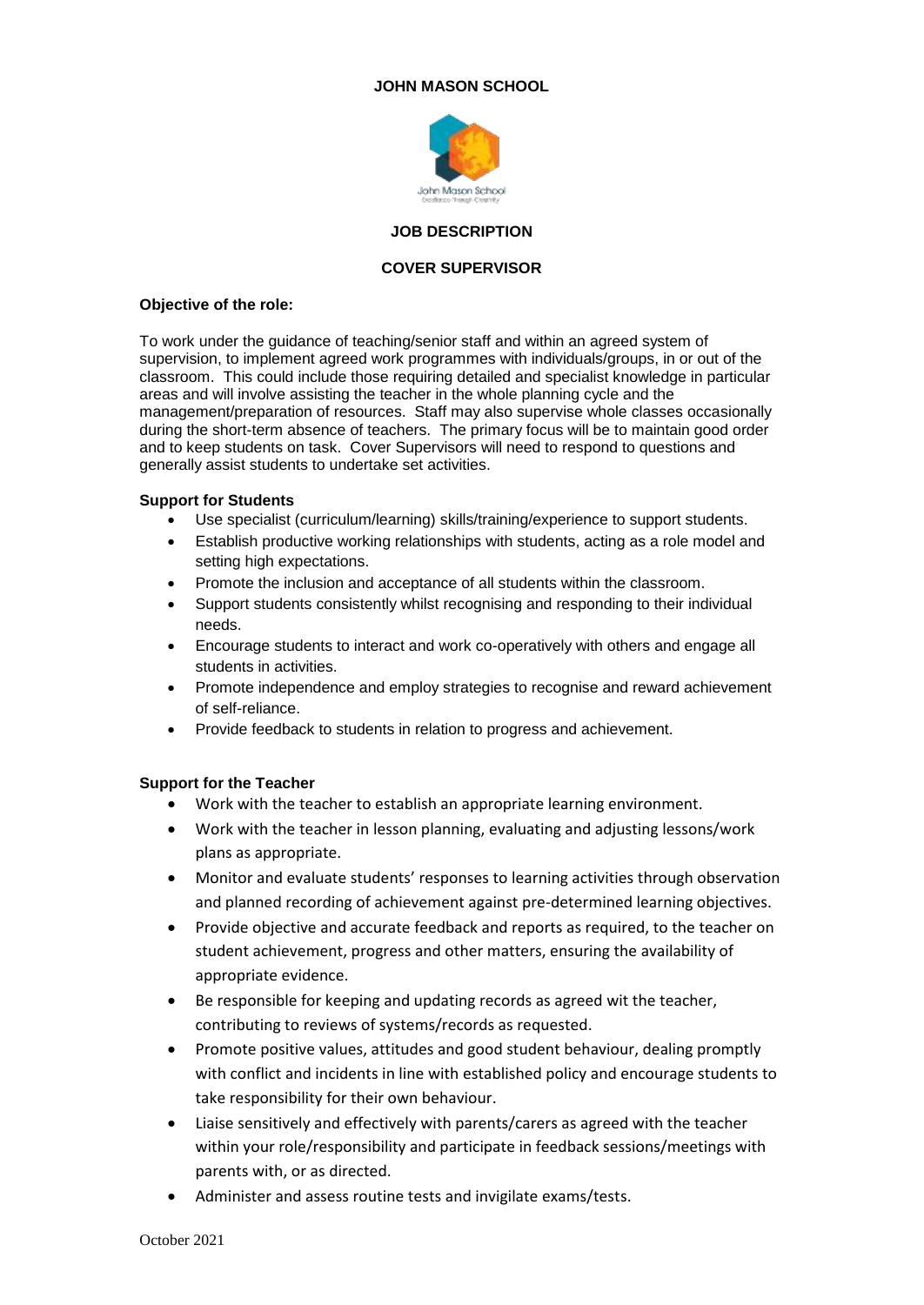## **JOHN MASON SCHOOL**



### **JOB DESCRIPTION**

### **COVER SUPERVISOR**

#### **Objective of the role:**

To work under the guidance of teaching/senior staff and within an agreed system of supervision, to implement agreed work programmes with individuals/groups, in or out of the classroom. This could include those requiring detailed and specialist knowledge in particular areas and will involve assisting the teacher in the whole planning cycle and the management/preparation of resources. Staff may also supervise whole classes occasionally during the short-term absence of teachers. The primary focus will be to maintain good order and to keep students on task. Cover Supervisors will need to respond to questions and generally assist students to undertake set activities.

### **Support for Students**

- Use specialist (curriculum/learning) skills/training/experience to support students.
- Establish productive working relationships with students, acting as a role model and setting high expectations.
- Promote the inclusion and acceptance of all students within the classroom.
- Support students consistently whilst recognising and responding to their individual needs.
- Encourage students to interact and work co-operatively with others and engage all students in activities.
- Promote independence and employ strategies to recognise and reward achievement of self-reliance.
- Provide feedback to students in relation to progress and achievement.

## **Support for the Teacher**

- Work with the teacher to establish an appropriate learning environment.
- Work with the teacher in lesson planning, evaluating and adjusting lessons/work plans as appropriate.
- Monitor and evaluate students' responses to learning activities through observation and planned recording of achievement against pre-determined learning objectives.
- Provide objective and accurate feedback and reports as required, to the teacher on student achievement, progress and other matters, ensuring the availability of appropriate evidence.
- Be responsible for keeping and updating records as agreed wit the teacher, contributing to reviews of systems/records as requested.
- Promote positive values, attitudes and good student behaviour, dealing promptly with conflict and incidents in line with established policy and encourage students to take responsibility for their own behaviour.
- Liaise sensitively and effectively with parents/carers as agreed with the teacher within your role/responsibility and participate in feedback sessions/meetings with parents with, or as directed.
- Administer and assess routine tests and invigilate exams/tests.